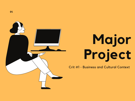

# **M a j o r P r oj e c t**

Crit #1 - Business and Cultural Context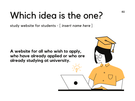# Which idea is the one?

**02**

 $\Omega$ 

 $\circ$ 

study website for students - [ *insert name here* ]

**A website for all who wish to apply, who have already applied or who are already studying at university.**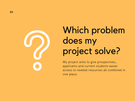

# Which problem does my project solve?

My project aims to give prospectives, applicants and current students easier access to needed resources all combined in one place.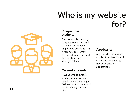### Who is my website for?

### **P r o s p e c tiv e s t u d e n t s**

Anyone who is planning to apply to a university in the near future, who might need assistance in where to apply, what they need to provide and how to stand out how to stand out<br>amongst others

### **Current students**

Anyone who is already studing at a university or about to start and might about to start and might<br>feel lost or anxious about the big change in their might need assistance in<br>
where to apply, what<br>
they need to provide and<br>
how to stand out<br>
amongst others<br>
is see<br>
the providents<br>
Anyone who is already<br>
studing at a university or<br>
about to start and might<br>
feel lost or

### **p plic a n t s**

Anyone who has already applied to university and is seeking help during the processing of applications

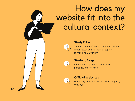### How does my website fit into the cultural context?



#### **StudyTube**

an abundance of videos available online, which helps with all sort of topics surronding univerisity



#### **Student Blogs**

individual blogs by students with personal experiences



### **Official websites**

University websites, UCAS, UniCompare, UniDays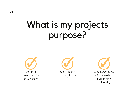## What is my projects purpose?

compile resources for easy access

help students ease into the uni life

take away some of the anxiety surronding university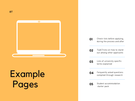

# **Example** Pages



- **02** Tip&Tricks on how to stand out among other applicants
- **03** Lists of university specific terms explained
- **04** Ferquently asked questions compiled through research
- **05**
- Student accommodation starter pack